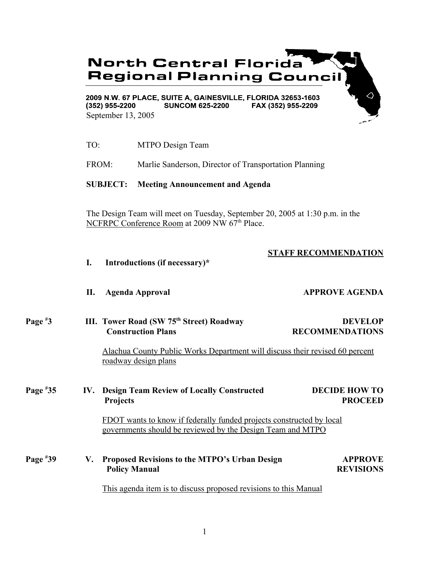# **North Central Florida Regional Planning Council**

2009 N.W. 67 PLACE, SUITE A, GAINESVILLE, FLORIDA 32653-1603  $(352)$  955-2200 **SUNCOM 625-2200** FAX (352) 955-2209 September 13, 2005

TO: MTPO Design Team

FROM: Marlie Sanderson, Director of Transportation Planning

**SUBJECT: Meeting Announcement and Agenda**

The Design Team will meet on Tuesday, September 20, 2005 at 1:30 p.m. in the NCFRPC Conference Room at 2009 NW 67<sup>th</sup> Place.

## **STAFF RECOMMENDATION**

| I. |  | Introductions (if necessary)* |
|----|--|-------------------------------|
|----|--|-------------------------------|

**II.** Agenda Approval **APPROVE AGENDA** 

#### **Page # III. Tower Road (SW 75<sup>th</sup> Street) Roadway DEVELOP Construction Plans RECOMMENDATIONS**

Alachua County Public Works Department will discuss their revised 60 percent roadway design plans

#### **Page # 35 IV. Design Team Review of Locally Constructed DECIDE HOW TO** Projects PROCEED

FDOT wants to know if federally funded projects constructed by local governments should be reviewed by the Design Team and MTPO

**Page # 39 V. Proposed Revisions to the MTPO's Urban Design APPROVE Policy Manual REVISIONS** 

This agenda item is to discuss proposed revisions to this Manual